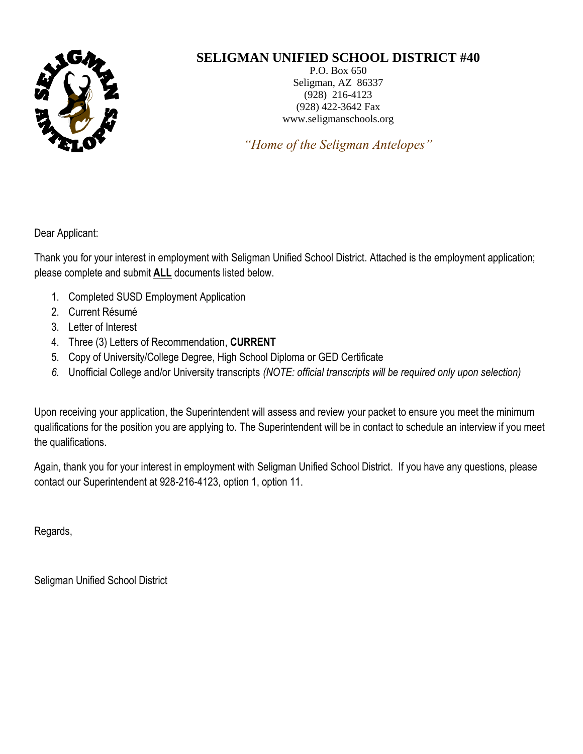

## **SELIGMAN UNIFIED SCHOOL DISTRICT #40**

P.O. Box 650 Seligman, AZ 86337 (928) 216-4123 (928) 422-3642 Fax www.seligmanschools.org

*"Home of the Seligman Antelopes"*

Dear Applicant:

Thank you for your interest in employment with Seligman Unified School District. Attached is the employment application; please complete and submit **ALL** documents listed below.

- 1. Completed SUSD Employment Application
- 2. Current Résumé
- 3. Letter of Interest
- 4. Three (3) Letters of Recommendation, **CURRENT**
- 5. Copy of University/College Degree, High School Diploma or GED Certificate
- *6.* Unofficial College and/or University transcripts *(NOTE: official transcripts will be required only upon selection)*

Upon receiving your application, the Superintendent will assess and review your packet to ensure you meet the minimum qualifications for the position you are applying to. The Superintendent will be in contact to schedule an interview if you meet the qualifications.

Again, thank you for your interest in employment with Seligman Unified School District. If you have any questions, please contact our Superintendent at 928-216-4123, option 1, option 11.

Regards,

Seligman Unified School District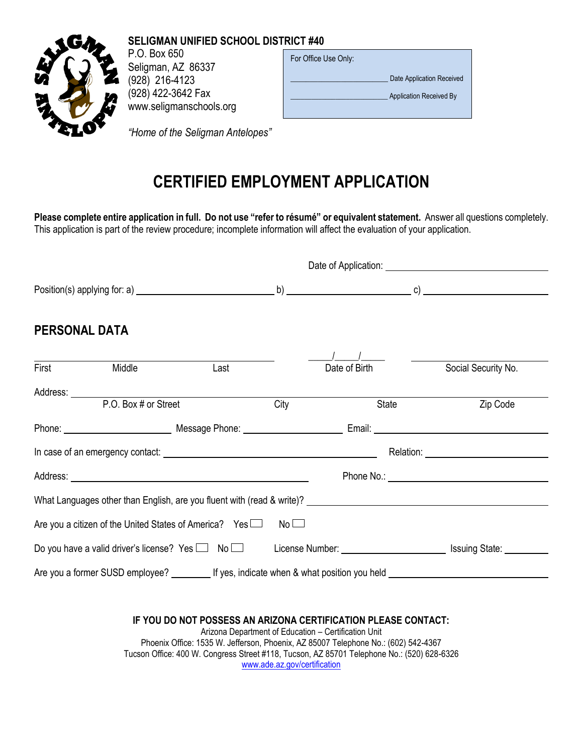

### **SELIGMAN UNIFIED SCHOOL DISTRICT #40**

P.O. Box 650 Seligman, AZ 86337 (928) 216-4123 (928) 422-3642 Fax www.seligmanschools.org

| For Office Use Only: |                           |
|----------------------|---------------------------|
|                      | Date Application Received |
|                      | Application Received By   |
|                      |                           |

*"Home of the Seligman Antelopes"*

# **CERTIFIED EMPLOYMENT APPLICATION**

**Please complete entire application in full. Do not use "refer to résumé" or equivalent statement.** Answer all questions completely. This application is part of the review procedure; incomplete information will affect the evaluation of your application.

|                      |                                                                                                                                                                                                                                |                                                                                                                                                                                                                                                    |                              |                                                      |       | Date of Application: <u>contract the contract of</u> the contract of the contract of the contract of the contract of the contract of the contract of the contract of the contract of the contract of the contract of the contract o |
|----------------------|--------------------------------------------------------------------------------------------------------------------------------------------------------------------------------------------------------------------------------|----------------------------------------------------------------------------------------------------------------------------------------------------------------------------------------------------------------------------------------------------|------------------------------|------------------------------------------------------|-------|-------------------------------------------------------------------------------------------------------------------------------------------------------------------------------------------------------------------------------------|
|                      |                                                                                                                                                                                                                                |                                                                                                                                                                                                                                                    |                              |                                                      |       |                                                                                                                                                                                                                                     |
| <b>PERSONAL DATA</b> |                                                                                                                                                                                                                                |                                                                                                                                                                                                                                                    |                              |                                                      |       |                                                                                                                                                                                                                                     |
| First                | Middle                                                                                                                                                                                                                         | Last                                                                                                                                                                                                                                               |                              | Date of Birth                                        |       | Social Security No.                                                                                                                                                                                                                 |
|                      | P.O. Box # or Street                                                                                                                                                                                                           |                                                                                                                                                                                                                                                    | City                         |                                                      | State | Zip Code                                                                                                                                                                                                                            |
|                      |                                                                                                                                                                                                                                |                                                                                                                                                                                                                                                    |                              |                                                      |       |                                                                                                                                                                                                                                     |
|                      |                                                                                                                                                                                                                                |                                                                                                                                                                                                                                                    |                              |                                                      |       |                                                                                                                                                                                                                                     |
|                      |                                                                                                                                                                                                                                |                                                                                                                                                                                                                                                    |                              |                                                      |       |                                                                                                                                                                                                                                     |
|                      | What Languages other than English, are you fluent with (read & write)? Letterman and the control of the control of the control of the control of the control of the control of the control of the control of the control of th |                                                                                                                                                                                                                                                    |                              |                                                      |       |                                                                                                                                                                                                                                     |
|                      | Are you a citizen of the United States of America? Yes $\Box$                                                                                                                                                                  |                                                                                                                                                                                                                                                    | $No$ $\Box$                  |                                                      |       |                                                                                                                                                                                                                                     |
|                      |                                                                                                                                                                                                                                |                                                                                                                                                                                                                                                    |                              |                                                      |       | Do you have a valid driver's license? Yes □ No □ License Number: __________________________ Issuing State: ____                                                                                                                     |
|                      |                                                                                                                                                                                                                                |                                                                                                                                                                                                                                                    |                              |                                                      |       | Are you a former SUSD employee? ____________ If yes, indicate when & what position you held                                                                                                                                         |
|                      |                                                                                                                                                                                                                                |                                                                                                                                                                                                                                                    |                              |                                                      |       |                                                                                                                                                                                                                                     |
|                      |                                                                                                                                                                                                                                | IF YOU DO NOT POSSESS AN ARIZONA CERTIFICATION PLEASE CONTACT:<br>Phoenix Office: 1535 W. Jefferson, Phoenix, AZ 85007 Telephone No.: (602) 542-4367<br>Tucson Office: 400 W. Congress Street #118, Tucson, AZ 85701 Telephone No.: (520) 628-6326 | www.ade.az.gov/certification | Arizona Department of Education - Certification Unit |       |                                                                                                                                                                                                                                     |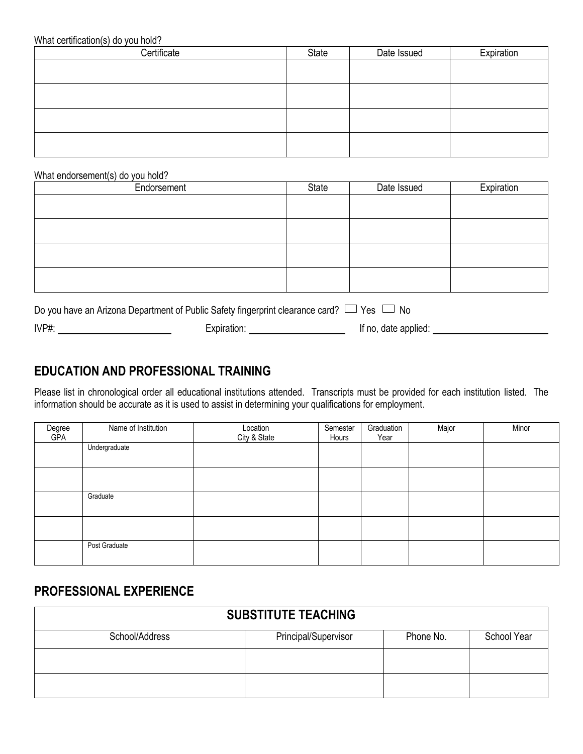#### What certification(s) do you hold?

| Certificate | State | Date Issued | Expiration |
|-------------|-------|-------------|------------|
|             |       |             |            |
|             |       |             |            |
|             |       |             |            |
|             |       |             |            |
|             |       |             |            |
|             |       |             |            |
|             |       |             |            |
|             |       |             |            |

#### What endorsement(s) do you hold?

| State | Date Issued | Expiration |
|-------|-------------|------------|
|       |             |            |
|       |             |            |
|       |             |            |
|       |             |            |
|       |             |            |
|       |             |            |
|       |             |            |
|       |             |            |
|       |             |            |

| Do you have an Arizona Department of Public Safety fingerprint clearance card? $\Box$ Yes $\Box$ No |             |                      |
|-----------------------------------------------------------------------------------------------------|-------------|----------------------|
| IVP#:                                                                                               | Expiration: | If no, date applied: |

## **EDUCATION AND PROFESSIONAL TRAINING**

Please list in chronological order all educational institutions attended. Transcripts must be provided for each institution listed. The information should be accurate as it is used to assist in determining your qualifications for employment.

| Degree<br><b>GPA</b> | Name of Institution | Location<br>City & State | Semester<br>Hours | Graduation<br>Year | Major | Minor |
|----------------------|---------------------|--------------------------|-------------------|--------------------|-------|-------|
|                      | Undergraduate       |                          |                   |                    |       |       |
|                      |                     |                          |                   |                    |       |       |
|                      |                     |                          |                   |                    |       |       |
|                      |                     |                          |                   |                    |       |       |
|                      | Graduate            |                          |                   |                    |       |       |
|                      |                     |                          |                   |                    |       |       |
|                      |                     |                          |                   |                    |       |       |
|                      |                     |                          |                   |                    |       |       |
|                      | Post Graduate       |                          |                   |                    |       |       |
|                      |                     |                          |                   |                    |       |       |

## **PROFESSIONAL EXPERIENCE**

| <b>SUBSTITUTE TEACHING</b> |                      |           |             |  |  |  |
|----------------------------|----------------------|-----------|-------------|--|--|--|
| School/Address             | Principal/Supervisor | Phone No. | School Year |  |  |  |
|                            |                      |           |             |  |  |  |
|                            |                      |           |             |  |  |  |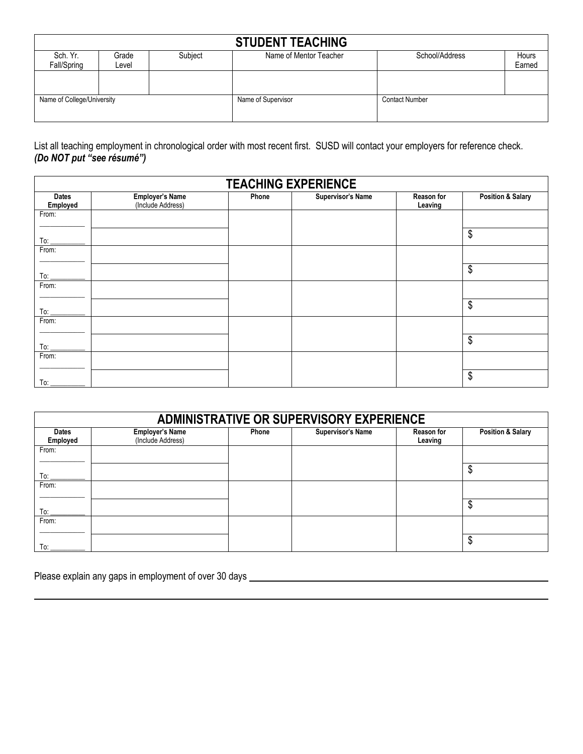| <b>STUDENT TEACHING</b>    |                |         |                        |                       |                 |  |  |
|----------------------------|----------------|---------|------------------------|-----------------------|-----------------|--|--|
| Sch. Yr.<br>Fall/Spring    | Grade<br>Level | Subject | Name of Mentor Teacher | School/Address        | Hours<br>Earned |  |  |
|                            |                |         |                        |                       |                 |  |  |
| Name of College/University |                |         | Name of Supervisor     | <b>Contact Number</b> |                 |  |  |

List all teaching employment in chronological order with most recent first. SUSD will contact your employers for reference check. *(Do NOT put "see résumé")*

| <b>TEACHING EXPERIENCE</b> |                                             |       |                          |                       |                              |  |
|----------------------------|---------------------------------------------|-------|--------------------------|-----------------------|------------------------------|--|
| <b>Dates</b><br>Employed   | <b>Employer's Name</b><br>(Include Address) | Phone | <b>Supervisor's Name</b> | Reason for<br>Leaving | <b>Position &amp; Salary</b> |  |
| From:                      |                                             |       |                          |                       |                              |  |
| To:                        |                                             |       |                          |                       | \$                           |  |
| From:                      |                                             |       |                          |                       |                              |  |
| $To:$ $\_\_$               |                                             |       |                          |                       | \$                           |  |
| From:                      |                                             |       |                          |                       |                              |  |
|                            |                                             |       |                          |                       | \$                           |  |
| From:                      |                                             |       |                          |                       |                              |  |
| To:                        |                                             |       |                          |                       | \$                           |  |
| From:                      |                                             |       |                          |                       |                              |  |
| To:                        |                                             |       |                          |                       | \$                           |  |

| ADMINISTRATIVE OR SUPERVISORY EXPERIENCE |                                             |       |                          |                              |                              |  |
|------------------------------------------|---------------------------------------------|-------|--------------------------|------------------------------|------------------------------|--|
| <b>Dates</b><br>Employed                 | <b>Employer's Name</b><br>(Include Address) | Phone | <b>Supervisor's Name</b> | <b>Reason for</b><br>Leaving | <b>Position &amp; Salary</b> |  |
| From:                                    |                                             |       |                          |                              |                              |  |
| To:                                      |                                             |       |                          |                              | ۰D                           |  |
| From:                                    |                                             |       |                          |                              |                              |  |
| To:                                      |                                             |       |                          |                              |                              |  |
| From:                                    |                                             |       |                          |                              |                              |  |
| To:                                      |                                             |       |                          |                              | Φ                            |  |

Please explain any gaps in employment of over 30 days